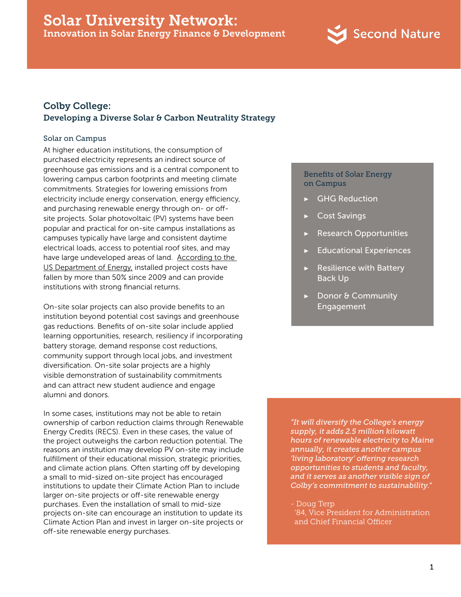

# Colby College: Developing a Diverse Solar & Carbon Neutrality Strategy

#### Solar on Campus

At higher education institutions, the consumption of purchased electricity represents an indirect source of greenhouse gas emissions and is a central component to lowering campus carbon footprints and meeting climate commitments. Strategies for lowering emissions from electricity include energy conservation, energy efficiency, and purchasing renewable energy through on- or offsite projects. Solar photovoltaic (PV) systems have been popular and practical for on-site campus installations as campuses typically have large and consistent daytime electrical loads, access to potential roof sites, and may have large undeveloped areas of land. According to the [US Department of Energy,](http://newscenter.lbl.gov/2015/09/30/price-of-solar-energy-in-the-united-states-has-fallen-to-5%C2%A2kwh-on-average/) installed project costs have fallen by more than 50% since 2009 and can provide institutions with strong financial returns.

On-site solar projects can also provide benefits to an institution beyond potential cost savings and greenhouse gas reductions. Benefits of on-site solar include applied learning opportunities, research, resiliency if incorporating battery storage, demand response cost reductions, community support through local jobs, and investment diversification. On-site solar projects are a highly visible demonstration of sustainability commitments and can attract new student audience and engage alumni and donors.

In some cases, institutions may not be able to retain ownership of carbon reduction claims through Renewable Energy Credits (RECS). Even in these cases, the value of the project outweighs the carbon reduction potential. The reasons an institution may develop PV on-site may include fulfillment of their educational mission, strategic priorities, and climate action plans. Often starting off by developing a small to mid-sized on-site project has encouraged institutions to update their Climate Action Plan to include larger on-site projects or off-site renewable energy purchases. Even the installation of small to mid-size projects on-site can encourage an institution to update its Climate Action Plan and invest in larger on-site projects or off-site renewable energy purchases.

### Benefits of Solar Energy on Campus

- **GHG Reduction**
- **▶** Cost Savings
- **▶** Research Opportunities
- **▶** Educational Experiences
- **▶** Resilience with Battery Back Up
- **Donor & Community** Engagement

*"It will diversify the College's energy supply, it adds 2.5 million kilowatt hours of renewable electricity to Maine annually, it creates another campus 'living laboratory' offering research opportunities to students and faculty, and it serves as another visible sign of Colby's commitment to sustainability."*

- Doug Terp

 '84, Vice President for Administration and Chief Financial Officer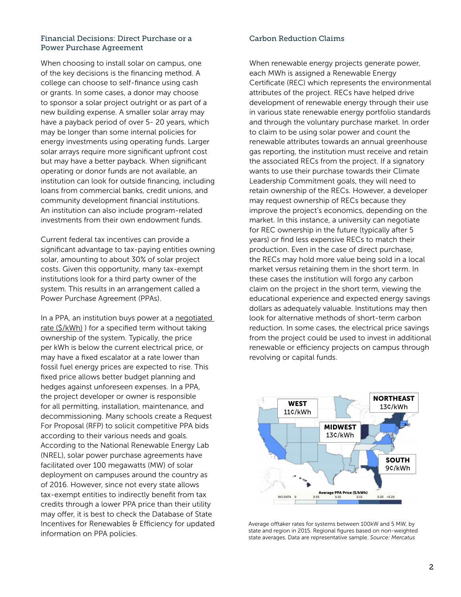## Financial Decisions: Direct Purchase or a Carbon Reduction Claims Power Purchase Agreement

When choosing to install solar on campus, one of the key decisions is the financing method. A college can choose to self-finance using cash or grants. In some cases, a donor may choose to sponsor a solar project outright or as part of a new building expense. A smaller solar array may have a payback period of over 5- 20 years, which may be longer than some internal policies for energy investments using operating funds. Larger solar arrays require more significant upfront cost but may have a better payback. When significant operating or donor funds are not available, an institution can look for outside financing, including loans from commercial banks, credit unions, and community development financial institutions. An institution can also include program-related investments from their own endowment funds.

Current federal tax incentives can provide a significant advantage to tax-paying entities owning solar, amounting to about 30% of solar project costs. Given this opportunity, many tax-exempt institutions look for a third party owner of the system. This results in an arrangement called a Power Purchase Agreement (PPAs).

In a PPA, an institution buys power at a [negotiated](http://www.nrel.gov/docs/gen/fy16/65567.pdf)  [rate \(\\$/kWh\)](http://www.nrel.gov/docs/gen/fy16/65567.pdf) ) for a specified term without taking ownership of the system. Typically, the price per kWh is below the current electrical price, or may have a fixed escalator at a rate lower than fossil fuel energy prices are expected to rise. This fixed price allows better budget planning and hedges against unforeseen expenses. In a PPA, the project developer or owner is responsible for all permitting, installation, maintenance, and decommissioning. Many schools create a Request For Proposal (RFP) to solicit competitive PPA bids according to their various needs and goals. According to the National Renewable Energy Lab (NREL), solar power purchase agreements have facilitated over 100 megawatts (MW) of solar deployment on campuses around the country as of 2016. However, since not every state allows tax-exempt entities to indirectly benefit from tax credits through a lower PPA price than their utility may offer, it is best to check the Database of State Incentives for Renewables & Efficiency for updated information on PPA policies.

When renewable energy projects generate power, each MWh is assigned a Renewable Energy Certificate (REC) which represents the environmental attributes of the project. RECs have helped drive development of renewable energy through their use in various state renewable energy portfolio standards and through the voluntary purchase market. In order to claim to be using solar power and count the renewable attributes towards an annual greenhouse gas reporting, the institution must receive and retain the associated RECs from the project. If a signatory wants to use their purchase towards their Climate Leadership Commitment goals, they will need to retain ownership of the RECs. However, a developer may request ownership of RECs because they improve the project's economics, depending on the market. In this instance, a university can negotiate for REC ownership in the future (typically after 5 years) or find less expensive RECs to match their production. Even in the case of direct purchase, the RECs may hold more value being sold in a local market versus retaining them in the short term. In these cases the institution will forgo any carbon claim on the project in the short term, viewing the educational experience and expected energy savings dollars as adequately valuable. Institutions may then look for alternative methods of short-term carbon reduction. In some cases, the electrical price savings from the project could be used to invest in additional renewable or efficiency projects on campus through revolving or capital funds.



[Average offtaker rates for systems between 100kW and 5 MW, by](http://www.nrel.gov/docs/gen/fy16/65567.pdf)  [state and region in 2015. Regional figures based on non-weighted](http://www.nrel.gov/docs/gen/fy16/65567.pdf)  state averages. Data are representative sample. *Source: Mercatus*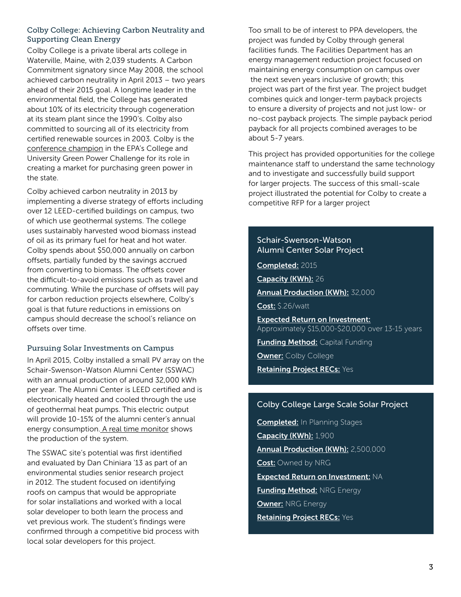# Colby College: Achieving Carbon Neutrality and Supporting Clean Energy

Colby College is a private liberal arts college in Waterville, Maine, with 2,039 students. A Carbon Commitment signatory since May 2008, the school achieved carbon neutrality in April 2013 – two years ahead of their 2015 goal. A longtime leader in the environmental field, the College has generated about 10% of its electricity through cogeneration at its steam plant since the 1990's. Colby also committed to sourcing all of its electricity from certified renewable sources in 2003. Colby is the [conference champion](http://www.colby.edu/news/2016/05/03/construction-of-colbys-1-9-megawatt-solar-electricity-project-gets-started-this-month/) in the EPA's College and University Green Power Challenge for its role in creating a market for purchasing green power in the state.

Colby achieved carbon neutrality in 2013 by implementing a diverse strategy of efforts including over 12 LEED-certified buildings on campus, two of which use geothermal systems. The college uses sustainably harvested wood biomass instead of oil as its primary fuel for heat and hot water. Colby spends about \$50,000 annually on carbon offsets, partially funded by the savings accrued from converting to biomass. The offsets cover the difficult-to-avoid emissions such as travel and commuting. While the purchase of offsets will pay for carbon reduction projects elsewhere, Colby's goal is that future reductions in emissions on campus should decrease the school's reliance on offsets over time.

# Pursuing Solar Investments on Campus

In April 2015, Colby installed a small PV array on the Schair-Swenson-Watson Alumni Center (SSWAC) with an annual production of around 32,000 kWh per year. The Alumni Center is LEED certified and is electronically heated and cooled through the use of geothermal heat pumps. This electric output will provide 10-15% of the alumni center's annual energy consumption[. A real time monitor](http://www.colby.edu/green/2015/05/20/solar-panels-on-sswac-now-generating-kwhs/) shows the production of the system.

The SSWAC site's potential was first identified and evaluated by Dan Chiniara '13 as part of an environmental studies senior research project in 2012. The student focused on identifying roofs on campus that would be appropriate for solar installations and worked with a local solar developer to both learn the process and vet previous work. The student's findings were confirmed through a competitive bid process with local solar developers for this project.

Too small to be of interest to PPA developers, the project was funded by Colby through general facilities funds. The Facilities Department has an energy management reduction project focused on maintaining energy consumption on campus over the next seven years inclusive of growth; this project was part of the first year. The project budget combines quick and longer-term payback projects to ensure a diversity of projects and not just low- or no-cost payback projects. The simple payback period payback for all projects combined averages to be about 5-7 years.

This project has provided opportunities for the college maintenance staff to understand the same technology and to investigate and successfully build support for larger projects. The success of this small-scale project illustrated the potential for Colby to create a competitive RFP for a larger project

## Schair-Swenson-Watson Alumni Center Solar Project

Completed: 2015

Capacity (KWh): 26

Annual Production (KWh): 32,000

Cost: \$.26/watt

Expected Return on Investment: Approximately \$15,000-\$20,000 over 13-15 years

**Funding Method: Capital Funding Owner: Colby College** 

Retaining Project RECs: Yes

# Colby College Large Scale Solar Project

**Completed:** In Planning Stages Capacity (KWh): 1,900 Annual Production (KWh): 2,500,000 Cost: Owned by NRG Expected Return on Investment: NA **Funding Method: NRG Energy Owner: NRG Energy** Retaining Project RECs: Yes